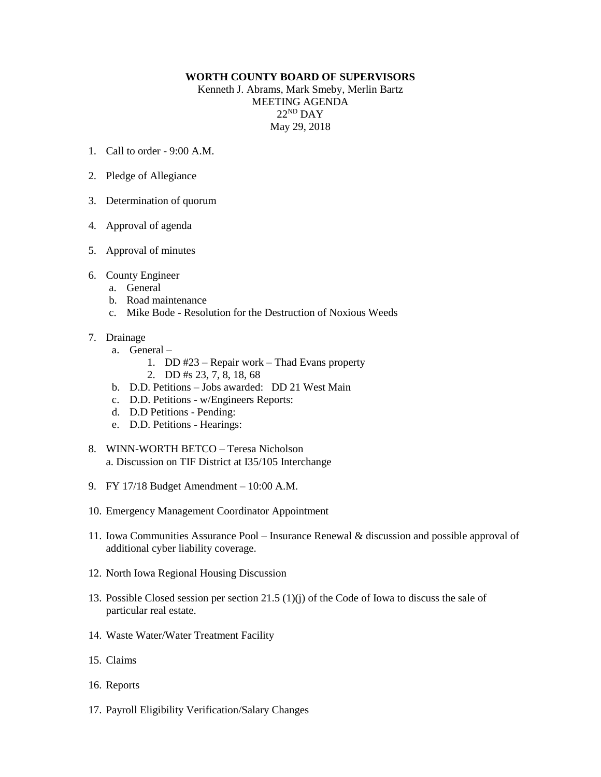## **WORTH COUNTY BOARD OF SUPERVISORS**

Kenneth J. Abrams, Mark Smeby, Merlin Bartz MEETING AGENDA 22 ND DAY May 29, 2018

- 1. Call to order 9:00 A.M.
- 2. Pledge of Allegiance
- 3. Determination of quorum
- 4. Approval of agenda
- 5. Approval of minutes
- 6. County Engineer
	- a. General
	- b. Road maintenance
	- c. Mike Bode Resolution for the Destruction of Noxious Weeds
- 7. Drainage
	- a. General
		- 1. DD #23 Repair work Thad Evans property
		- 2. DD #s 23, 7, 8, 18, 68
	- b. D.D. Petitions Jobs awarded: DD 21 West Main
	- c. D.D. Petitions w/Engineers Reports:
	- d. D.D Petitions Pending:
	- e. D.D. Petitions Hearings:
- 8. WINN-WORTH BETCO Teresa Nicholson a. Discussion on TIF District at I35/105 Interchange
- 9. FY 17/18 Budget Amendment 10:00 A.M.
- 10. Emergency Management Coordinator Appointment
- 11. Iowa Communities Assurance Pool Insurance Renewal & discussion and possible approval of additional cyber liability coverage.
- 12. North Iowa Regional Housing Discussion
- 13. Possible Closed session per section 21.5 (1)(j) of the Code of Iowa to discuss the sale of particular real estate.
- 14. Waste Water/Water Treatment Facility
- 15. Claims
- 16. Reports
- 17. Payroll Eligibility Verification/Salary Changes